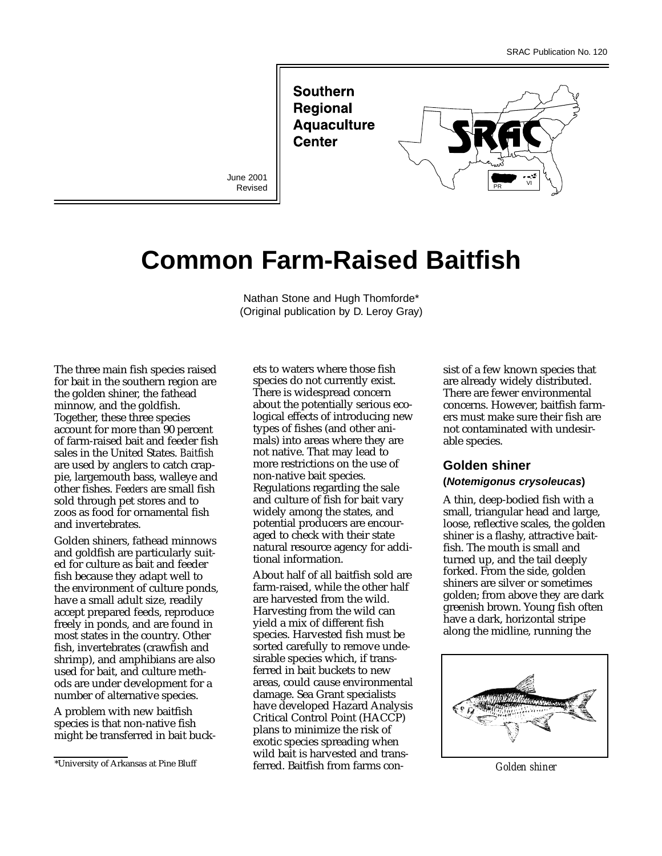**Southern** Regional **Aquaculture Center** 

June 2001 Revised



# **Common Farm-Raised Baitfish**

Nathan Stone and Hugh Thomforde\* (Original publication by D. Leroy Gray)

The three main fish species raised for bait in the southern region are the golden shiner, the fathead minnow, and the goldfish. Together, these three species account for more than 90 percent of farm-raised bait and feeder fish sales in the United States. *Baitfish* are used by anglers to catch crappie, largemouth bass, walleye and other fishes. *Feeders* are small fish sold through pet stores and to zoos as food for ornamental fish and invertebrates.

Golden shiners, fathead minnows and goldfish are particularly suited for culture as bait and feeder fish because they adapt well to the environment of culture ponds, have a small adult size, readily accept prepared feeds, reproduce freely in ponds, and are found in most states in the country. Other fish, invertebrates (crawfish and shrimp), and amphibians are also used for bait, and culture methods are under development for a number of alternative species.

A problem with new baitfish species is that non-native fish might be transferred in bait buck-

ets to waters where those fish species do not currently exist. There is widespread concern about the potentially serious ecological effects of introducing new types of fishes (and other animals) into areas where they are not native. That may lead to more restrictions on the use of non-native bait species. Regulations regarding the sale and culture of fish for bait vary widely among the states, and potential producers are encouraged to check with their state natural resource agency for additional information.

About half of all baitfish sold are farm-raised, while the other half are harvested from the wild. Harvesting from the wild can yield a mix of different fish species. Harvested fish must be sorted carefully to remove undesirable species which, if transferred in bait buckets to new areas, could cause environmental damage. Sea Grant specialists have developed Hazard Analysis Critical Control Point (HACCP) plans to minimize the risk of exotic species spreading when wild bait is harvested and transferred. Baitfish from farms con-\*University of Arkansas at Pine Bluff *Golden shiner*

sist of a few known species that are already widely distributed. There are fewer environmental concerns. However, baitfish farmers must make sure their fish are not contaminated with undesirable species.

### **Golden shiner**

### **(Notemigonus crysoleucas)**

A thin, deep-bodied fish with a small, triangular head and large, loose, reflective scales, the golden shiner is a flashy, attractive baitfish. The mouth is small and turned up, and the tail deeply forked. From the side, golden shiners are silver or sometimes golden; from above they are dark greenish brown. Young fish often have a dark, horizontal stripe along the midline, running the

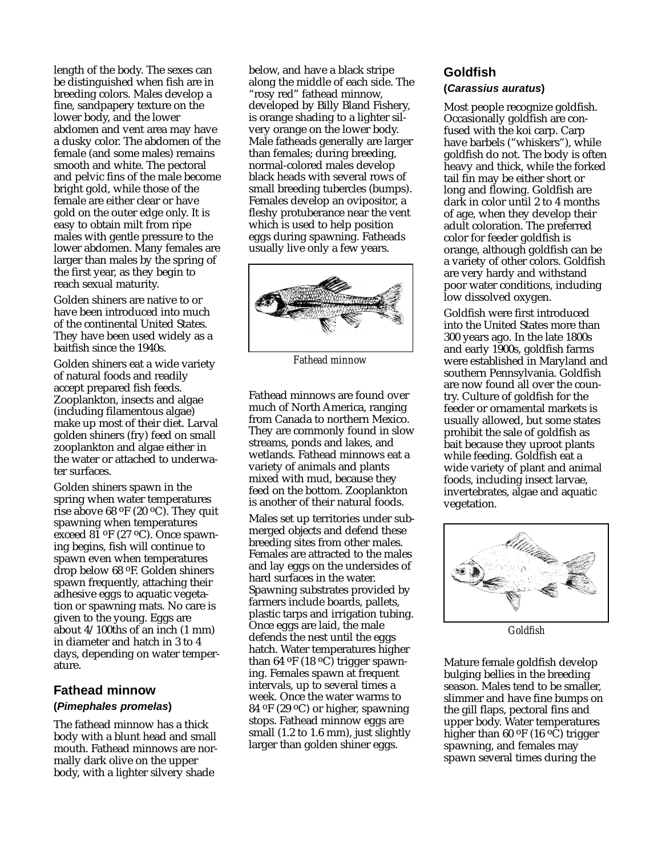length of the body. The sexes can be distinguished when fish are in breeding colors. Males develop a fine, sandpapery texture on the lower body, and the lower abdomen and vent area may have a dusky color. The abdomen of the female (and some males) remains smooth and white. The pectoral and pelvic fins of the male become bright gold, while those of the female are either clear or have gold on the outer edge only. It is easy to obtain milt from ripe males with gentle pressure to the lower abdomen. Many females are larger than males by the spring of the first year, as they begin to reach sexual maturity.

Golden shiners are native to or have been introduced into much of the continental United States. They have been used widely as a baitfish since the 1940s.

Golden shiners eat a wide variety of natural foods and readily accept prepared fish feeds. Zooplankton, insects and algae (including filamentous algae) make up most of their diet. Larval golden shiners (fry) feed on small zooplankton and algae either in the water or attached to underwater surfaces.

Golden shiners spawn in the spring when water temperatures rise above 68  $\mathrm{^{\mathrm{o}F}}$  (20  $\mathrm{^{\mathrm{o}C}}$ ). They quit spawning when temperatures exceed 81 oF (27 oC). Once spawning begins, fish will continue to spawn even when temperatures drop below 68 oF. Golden shiners spawn frequently, attaching their adhesive eggs to aquatic vegetation or spawning mats. No care is given to the young. Eggs are about 4/100ths of an inch (1 mm) in diameter and hatch in 3 to 4 days, depending on water temperature.

### **Fathead minnow (Pimephales promelas)**

The fathead minnow has a thick body with a blunt head and small mouth. Fathead minnows are normally dark olive on the upper body, with a lighter silvery shade

below, and have a black stripe along the middle of each side. The "rosy red" fathead minnow, developed by Billy Bland Fishery, is orange shading to a lighter silvery orange on the lower body. Male fatheads generally are larger than females; during breeding, normal-colored males develop black heads with several rows of small breeding tubercles (bumps). Females develop an ovipositor, a fleshy protuberance near the vent which is used to help position eggs during spawning. Fatheads usually live only a few years.



*Fathead minnow*

Fathead minnows are found over much of North America, ranging from Canada to northern Mexico. They are commonly found in slow streams, ponds and lakes, and wetlands. Fathead minnows eat a variety of animals and plants mixed with mud, because they feed on the bottom. Zooplankton is another of their natural foods.

Males set up territories under submerged objects and defend these breeding sites from other males. Females are attracted to the males and lay eggs on the undersides of hard surfaces in the water. Spawning substrates provided by farmers include boards, pallets, plastic tarps and irrigation tubing. Once eggs are laid, the male defends the nest until the eggs hatch. Water temperatures higher than 64  $\rm ^{o}F$  (18  $\rm ^{o}C$ ) trigger spawning. Females spawn at frequent intervals, up to several times a week. Once the water warms to 84 oF (29 oC) or higher, spawning stops. Fathead minnow eggs are small (1.2 to 1.6 mm), just slightly larger than golden shiner eggs.

## **Goldfish**

#### **(Carassius auratus)**

Most people recognize goldfish. Occasionally goldfish are confused with the koi carp. Carp have barbels ("whiskers"), while goldfish do not. The body is often heavy and thick, while the forked tail fin may be either short or long and flowing. Goldfish are dark in color until 2 to 4 months of age, when they develop their adult coloration. The preferred color for feeder goldfish is orange, although goldfish can be a variety of other colors. Goldfish are very hardy and withstand poor water conditions, including low dissolved oxygen.

Goldfish were first introduced into the United States more than 300 years ago. In the late 1800s and early 1900s, goldfish farms were established in Maryland and southern Pennsylvania. Goldfish are now found all over the country. Culture of goldfish for the feeder or ornamental markets is usually allowed, but some states prohibit the sale of goldfish as bait because they uproot plants while feeding. Goldfish eat a wide variety of plant and animal foods, including insect larvae, invertebrates, algae and aquatic vegetation.



*Goldfish*

Mature female goldfish develop bulging bellies in the breeding season. Males tend to be smaller, slimmer and have fine bumps on the gill flaps, pectoral fins and upper body. Water temperatures higher than 60  $\rm ^{o}F$  (16  $\rm ^{o}\rm \tilde{C}$ ) trigger spawning, and females may spawn several times during the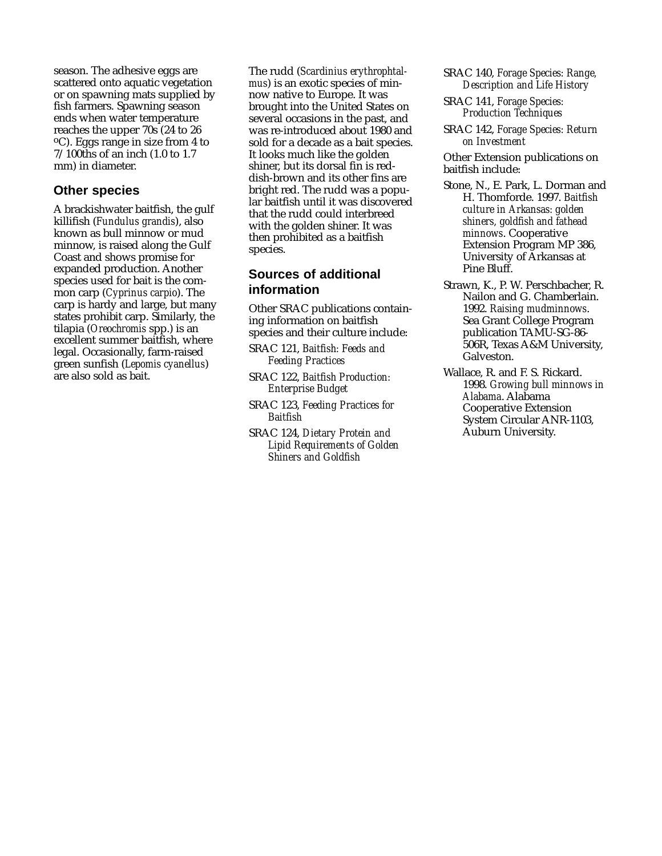season. The adhesive eggs are scattered onto aquatic vegetation or on spawning mats supplied by fish farmers. Spawning season ends when water temperature reaches the upper 70s (24 to 26 oC). Eggs range in size from 4 to 7/100ths of an inch (1.0 to 1.7 mm) in diameter.

### **Other species**

A brackishwater baitfish, the gulf killifish (*Fundulus grandis*), also known as bull minnow or mud minnow, is raised along the Gulf Coast and shows promise for expanded production. Another species used for bait is the common carp (*Cyprinus carpio*). The carp is hardy and large, but many states prohibit carp. Similarly, the tilapia (*Oreochromis* spp.) is an excellent summer baitfish, where legal. Occasionally, farm-raised green sunfish (*Lepomis cyanellus*) are also sold as bait.

The rudd (*Scardinius erythrophtalmus*) is an exotic species of minnow native to Europe. It was brought into the United States on several occasions in the past, and was re-introduced about 1980 and sold for a decade as a bait species. It looks much like the golden shiner, but its dorsal fin is reddish-brown and its other fins are bright red. The rudd was a popular baitfish until it was discovered that the rudd could interbreed with the golden shiner. It was then prohibited as a baitfish species.

### **Sources of additional information**

Other SRAC publications containing information on baitfish species and their culture include:

- SRAC 121, *Baitfish: Feeds and Feeding Practices*
- SRAC 122, *Baitfish Production: Enterprise Budget*
- SRAC 123, *Feeding Practices for Baitfish*
- SRAC 124, *Dietary Protein and Lipid Requirements of Golden Shiners and Goldfish*
- SRAC 140, *Forage Species: Range, Description and Life History*
- SRAC 141, *Forage Species: Production Techniques*
- SRAC 142, *Forage Species: Return on Investment*

Other Extension publications on baitfish include:

- Stone, N., E. Park, L. Dorman and H. Thomforde. 1997. *Baitfish culture in Arkansas: golden shiners, goldfish and fathead minnows*. Cooperative Extension Program MP 386, University of Arkansas at Pine Bluff.
- Strawn, K., P. W. Perschbacher, R. Nailon and G. Chamberlain. 1992. *Raising mudminnows*. Sea Grant College Program publication TAMU-SG-86- 506R, Texas A&M University, Galveston.
- Wallace, R. and F. S. Rickard. 1998. *Growing bull minnows in Alabama*. Alabama Cooperative Extension System Circular ANR-1103, Auburn University.